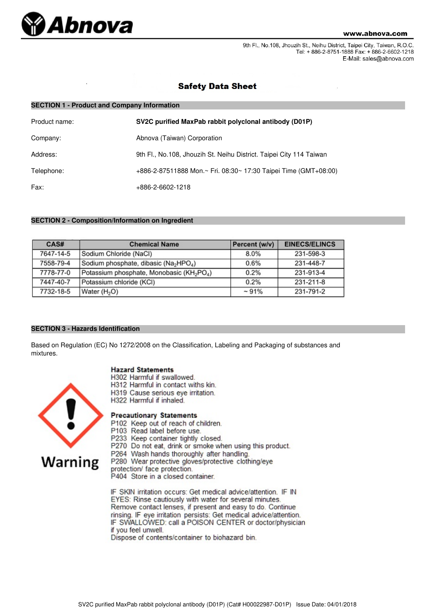

9th Fl., No.108, Jhouzih St., Neihu District, Taipei City, Taiwan, R.O.C. Tel: + 886-2-8751-1888 Fax: + 886-2-6602-1218 E-Mail: sales@abnova.com

## **Safety Data Sheet**

| <b>SECTION 1 - Product and Company Information</b> |                                                                     |  |  |
|----------------------------------------------------|---------------------------------------------------------------------|--|--|
| Product name:                                      | SV2C purified MaxPab rabbit polyclonal antibody (D01P)              |  |  |
| Company:                                           | Abnova (Taiwan) Corporation                                         |  |  |
| Address:                                           | 9th Fl., No.108, Jhouzih St. Neihu District. Taipei City 114 Taiwan |  |  |
| Telephone:                                         | +886-2-87511888 Mon.~ Fri. 08:30~ 17:30 Taipei Time (GMT+08:00)     |  |  |
| Fax:                                               | +886-2-6602-1218                                                    |  |  |

## **SECTION 2 - Composition/Information on Ingredient**

| CAS#      | <b>Chemical Name</b>                                              | Percent (w/v) | <b>EINECS/ELINCS</b> |
|-----------|-------------------------------------------------------------------|---------------|----------------------|
| 7647-14-5 | Sodium Chloride (NaCl)                                            | 8.0%          | 231-598-3            |
| 7558-79-4 | Sodium phosphate, dibasic (Na <sub>2</sub> HPO <sub>4</sub> )     | 0.6%          | 231-448-7            |
| 7778-77-0 | Potassium phosphate, Monobasic (KH <sub>2</sub> PO <sub>4</sub> ) | 0.2%          | 231-913-4            |
| 7447-40-7 | Potassium chloride (KCI)                                          | 0.2%          | 231-211-8            |
| 7732-18-5 | Water (H <sub>2</sub> O)                                          | $~1\%$        | 231-791-2            |

## **SECTION 3 - Hazards Identification**

Based on Regulation (EC) No 1272/2008 on the Classification, Labeling and Packaging of substances and mixtures.

#### **Hazard Statements**

- H302 Harmful if swallowed.
- H312 Harmful in contact withs kin.
- H319 Cause serious eye irritation.
- H322 Harmful if inhaled.

# **Warning**

- **Precautionary Statements**
- P102 Keep out of reach of children.
- P103 Read label before use.
- P233 Keep container tightly closed.
- P270 Do not eat, drink or smoke when using this product.
- P264 Wash hands thoroughly after handling.

P280 Wear protective gloves/protective clothing/eye

protection/ face protection.

P404 Store in a closed container.

IF SKIN irritation occurs: Get medical advice/attention. IF IN EYES: Rinse cautiously with water for several minutes. Remove contact lenses, if present and easy to do. Continue rinsing. IF eye irritation persists: Get medical advice/attention. IF SWALLOWED: call a POISON CENTER or doctor/physician if you feel unwell.

Dispose of contents/container to biohazard bin.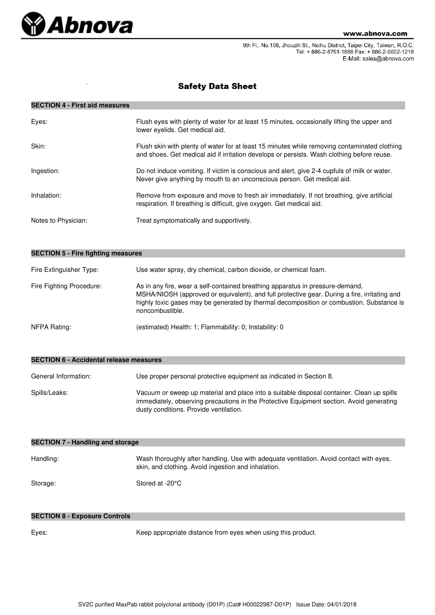

9th Fl., No.108, Jhouzih St., Neihu District, Taipei City, Taiwan, R.O.C. Tel: + 886-2-8751-1888 Fax: + 886-2-6602-1218 E-Mail: sales@abnova.com

# **Safety Data Sheet**

## **SECTION 4 - First aid measures**

| Eyes:               | Flush eyes with plenty of water for at least 15 minutes, occasionally lifting the upper and<br>lower eyelids. Get medical aid.                                                             |
|---------------------|--------------------------------------------------------------------------------------------------------------------------------------------------------------------------------------------|
| Skin:               | Flush skin with plenty of water for at least 15 minutes while removing contaminated clothing<br>and shoes. Get medical aid if irritation develops or persists. Wash clothing before reuse. |
| Ingestion:          | Do not induce vomiting. If victim is conscious and alert, give 2-4 cupfuls of milk or water.<br>Never give anything by mouth to an unconscious person. Get medical aid.                    |
| Inhalation:         | Remove from exposure and move to fresh air immediately. If not breathing, give artificial<br>respiration. If breathing is difficult, give oxygen. Get medical aid.                         |
| Notes to Physician: | Treat symptomatically and supportively.                                                                                                                                                    |

| <b>SECTION 5 - Fire fighting measures</b> |                                                                                                                                                                                                                                                                                              |  |  |
|-------------------------------------------|----------------------------------------------------------------------------------------------------------------------------------------------------------------------------------------------------------------------------------------------------------------------------------------------|--|--|
| Fire Extinguisher Type:                   | Use water spray, dry chemical, carbon dioxide, or chemical foam.                                                                                                                                                                                                                             |  |  |
| Fire Fighting Procedure:                  | As in any fire, wear a self-contained breathing apparatus in pressure-demand,<br>MSHA/NIOSH (approved or equivalent), and full protective gear. During a fire, irritating and<br>highly toxic gases may be generated by thermal decomposition or combustion. Substance is<br>noncombustible. |  |  |
| NFPA Rating:                              | (estimated) Health: 1; Flammability: 0; Instability: 0                                                                                                                                                                                                                                       |  |  |

| SECTION 0 - ACCIDENTAL I EIEASE INEASURES |                                                                                                                                                                                                                                 |  |
|-------------------------------------------|---------------------------------------------------------------------------------------------------------------------------------------------------------------------------------------------------------------------------------|--|
| General Information:                      | Use proper personal protective equipment as indicated in Section 8.                                                                                                                                                             |  |
| Spills/Leaks:                             | Vacuum or sweep up material and place into a suitable disposal container. Clean up spills<br>immediately, observing precautions in the Protective Equipment section. Avoid generating<br>dusty conditions. Provide ventilation. |  |

| <b>SECTION 7 - Handling and storage</b> |                                                                                                                                                |  |  |  |
|-----------------------------------------|------------------------------------------------------------------------------------------------------------------------------------------------|--|--|--|
| Handling:                               | Wash thoroughly after handling. Use with adequate ventilation. Avoid contact with eyes,<br>skin, and clothing. Avoid ingestion and inhalation. |  |  |  |
| Storage:                                | Stored at -20°C                                                                                                                                |  |  |  |

## **SECTION 8 - Exposure Controls**

**SECTION 6 - Accidental release measures**

Eyes: Keep appropriate distance from eyes when using this product.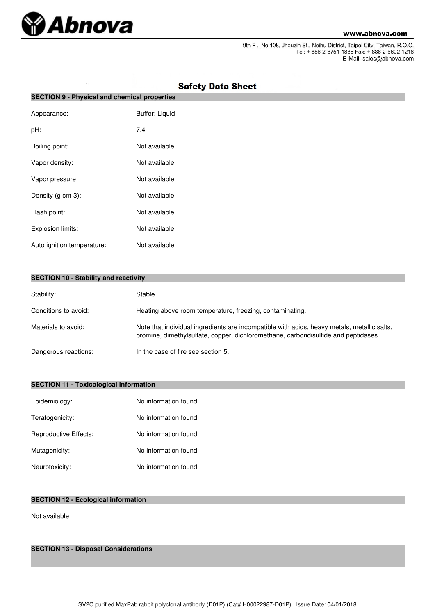

9th Fl., No.108, Jhouzih St., Neihu District, Taipei City, Taiwan, R.O.C.<br>Tel: + 886-2-8751-1888 Fax: + 886-2-6602-1218 E-Mail: sales@abnova.com

| <b>SECTION 9 - Physical and chemical properties</b> |                       |  |  |
|-----------------------------------------------------|-----------------------|--|--|
| Appearance:                                         | <b>Buffer: Liquid</b> |  |  |
| pH:                                                 | 7.4                   |  |  |
| Boiling point:                                      | Not available         |  |  |
| Vapor density:                                      | Not available         |  |  |
| Vapor pressure:                                     | Not available         |  |  |
| Density (g cm-3):                                   | Not available         |  |  |
| Flash point:                                        | Not available         |  |  |
| Explosion limits:                                   | Not available         |  |  |
| Auto ignition temperature:                          | Not available         |  |  |

# **Safety Data Sheet**

|  |  |  |  | <b>SECTION 10 - Stability and reactivity</b> |
|--|--|--|--|----------------------------------------------|
|--|--|--|--|----------------------------------------------|

| Stability:           | Stable.                                                                                                                                                                           |
|----------------------|-----------------------------------------------------------------------------------------------------------------------------------------------------------------------------------|
| Conditions to avoid: | Heating above room temperature, freezing, contaminating.                                                                                                                          |
| Materials to avoid:  | Note that individual ingredients are incompatible with acids, heavy metals, metallic salts,<br>bromine, dimethylsulfate, copper, dichloromethane, carbondisulfide and peptidases. |
| Dangerous reactions: | In the case of fire see section 5.                                                                                                                                                |

## **SECTION 11 - Toxicological information**

| Epidemiology:         | No information found |
|-----------------------|----------------------|
| Teratogenicity:       | No information found |
| Reproductive Effects: | No information found |
| Mutagenicity:         | No information found |
| Neurotoxicity:        | No information found |

## **SECTION 12 - Ecological information**

Not available

**SECTION 13 - Disposal Considerations**